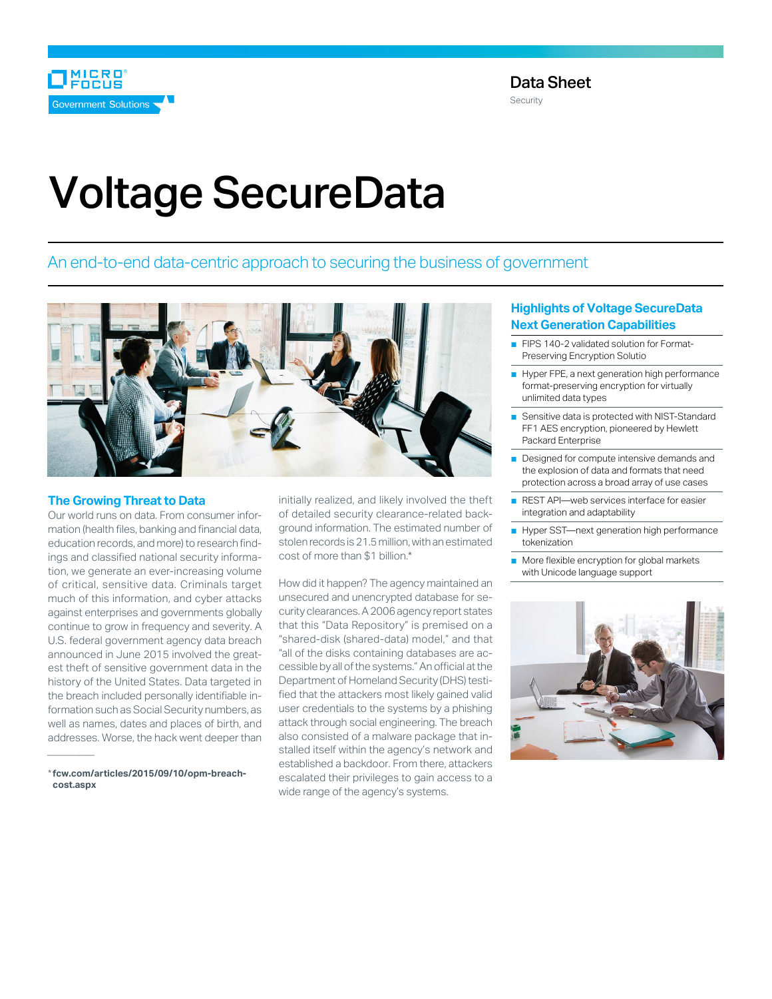

# Voltage SecureData

An end-to-end data-centric approach to securing the business of government



#### **The Growing Threat to Data**

Our world runs on data. From consumer information (health files, banking and financial data, education records, and more) to research findings and classified national security information, we generate an ever-increasing volume of critical, sensitive data. Criminals target much of this information, and cyber attacks against enterprises and governments globally continue to grow in frequency and severity. A U.S. federal government agency data breach announced in June 2015 involved the greatest theft of sensitive government data in the history of the United States. Data targeted in the breach included personally identifiable information such as Social Security numbers, as well as names, dates and places of birth, and addresses. Worse, the hack went deeper than

\***[fcw.com/articles/2015/09/10/opm-breach](http://www.fcw.com/articles/2015/09/10/opm-breach-cost.aspx)[cost.aspx](http://www.fcw.com/articles/2015/09/10/opm-breach-cost.aspx)**

*\_\_\_\_\_\_\_\_\_\_*

initially realized, and likely involved the theft of detailed security clearance-related background information. The estimated number of stolen records is 21.5 million, with an estimated cost of more than \$1 billion.\*

How did it happen? The agency maintained an unsecured and unencrypted database for security clearances. A 2006 agency report states that this "Data Repository" is premised on a "shared-disk (shared-data) model," and that "all of the disks containing databases are accessible by all of the systems." An official at the Department of Homeland Security (DHS) testified that the attackers most likely gained valid user credentials to the systems by a phishing attack through social engineering. The breach also consisted of a malware package that installed itself within the agency's network and established a backdoor. From there, attackers escalated their privileges to gain access to a wide range of the agency's systems.

## **Highlights of Voltage SecureData Next Generation Capabilities**

- FIPS 140-2 validated solution for Format-Preserving Encryption Solutio
- Hyper FPE, a next generation high performance format-preserving encryption for virtually unlimited data types
- Sensitive data is protected with NIST-Standard FF1 AES encryption, pioneered by Hewlett Packard Enterprise
- Designed for compute intensive demands and the explosion of data and formats that need protection across a broad array of use cases
- REST API—web services interface for easier integration and adaptability
- Hyper SST—next generation high performance tokenization
- More flexible encryption for global markets with Unicode language support

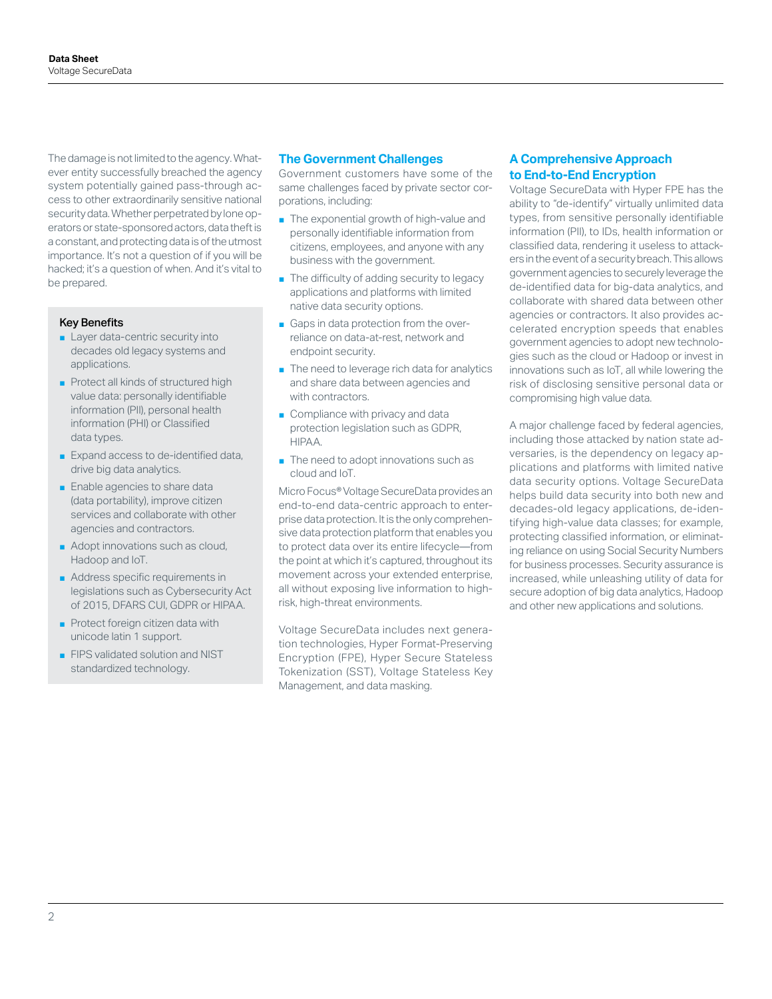The damage is not limited to the agency. Whatever entity successfully breached the agency system potentially gained pass-through access to other extraordinarily sensitive national security data. Whether perpetrated by lone operators or state-sponsored actors, data theft is a constant, and protecting data is of the utmost importance. It's not a question of if you will be hacked; it's a question of when. And it's vital to be prepared.

#### Key Benefits

- Layer data-centric security into decades old legacy systems and applications.
- Protect all kinds of structured high value data: personally identifiable information (PII), personal health information (PHI) or Classified data types.
- Expand access to de-identified data, drive big data analytics.
- Enable agencies to share data (data portability), improve citizen services and collaborate with other agencies and contractors.
- Adopt innovations such as cloud, Hadoop and IoT.
- Address specific requirements in legislations such as Cybersecurity Act of 2015, DFARS CUI, GDPR or HIPAA.
- Protect foreign citizen data with unicode latin 1 support.
- FIPS validated solution and NIST standardized technology.

#### **The Government Challenges**

Government customers have some of the same challenges faced by private sector corporations, including:

- The exponential growth of high-value and personally identifiable information from citizens, employees, and anyone with any business with the government.
- The difficulty of adding security to legacy applications and platforms with limited native data security options.
- Gaps in data protection from the overreliance on data-at-rest, network and endpoint security.
- The need to leverage rich data for analytics and share data between agencies and with contractors.
- Compliance with privacy and data protection legislation such as GDPR, HIPAA.
- The need to adopt innovations such as cloud and IoT.

Micro Focus® Voltage SecureData provides an end-to-end data-centric approach to enterprise data protection. It is the only comprehensive data protection platform that enables you to protect data over its entire lifecycle—from the point at which it's captured, throughout its movement across your extended enterprise, all without exposing live information to highrisk, high-threat environments.

Voltage SecureData includes next generation technologies, Hyper Format-Preserving Encryption (FPE), Hyper Secure Stateless Tokenization (SST), Voltage Stateless Key Management, and data masking.

## **A Comprehensive Approach to End-to-End Encryption**

Voltage SecureData with Hyper FPE has the ability to "de-identify" virtually unlimited data types, from sensitive personally identifiable information (PII), to IDs, health information or classified data, rendering it useless to attackers in the event of a security breach. This allows government agencies to securely leverage the de-identified data for big-data analytics, and collaborate with shared data between other agencies or contractors. It also provides accelerated encryption speeds that enables government agencies to adopt new technologies such as the cloud or Hadoop or invest in innovations such as IoT, all while lowering the risk of disclosing sensitive personal data or compromising high value data.

A major challenge faced by federal agencies, including those attacked by nation state adversaries, is the dependency on legacy applications and platforms with limited native data security options. Voltage SecureData helps build data security into both new and decades-old legacy applications, de-identifying high-value data classes; for example, protecting classified information, or eliminating reliance on using Social Security Numbers for business processes. Security assurance is increased, while unleashing utility of data for secure adoption of big data analytics, Hadoop and other new applications and solutions.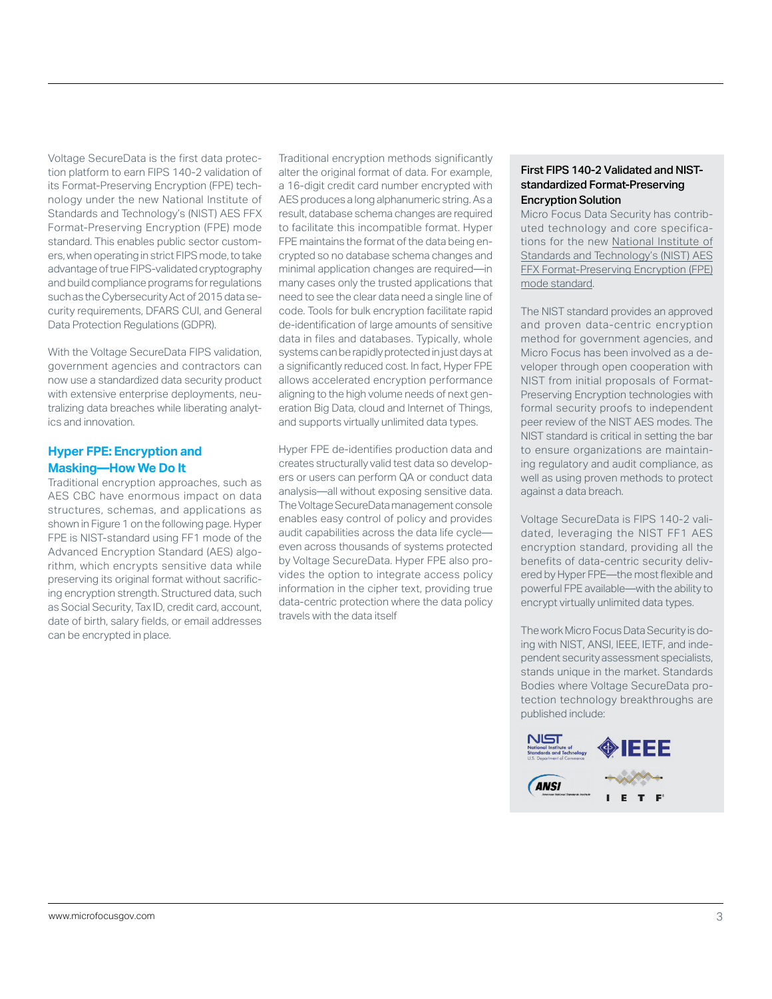Voltage SecureData is the first data protection platform to earn FIPS 140-2 validation of its Format-Preserving Encryption (FPE) technology under the new National Institute of Standards and Technology's (NIST) AES FFX Format-Preserving Encryption (FPE) mode standard. This enables public sector customers, when operating in strict FIPS mode, to take advantage of true FIPS-validated cryptography and build compliance programs for regulations such as the Cybersecurity Act of 2015 data security requirements, DFARS CUI, and General Data Protection Regulations (GDPR).

With the Voltage SecureData FIPS validation, government agencies and contractors can now use a standardized data security product with extensive enterprise deployments, neutralizing data breaches while liberating analytics and innovation.

## **Hyper FPE: Encryption and Masking—How We Do It**

Traditional encryption approaches, such as AES CBC have enormous impact on data structures, schemas, and applications [as](#page-3-0)  [shown in Figure 1 on the following page](#page-3-0). Hyper FPE is NIST-standard using FF1 mode of the Advanced Encryption Standard (AES) algorithm, which encrypts sensitive data while preserving its original format without sacrificing encryption strength. Structured data, such as Social Security, Tax ID, credit card, account, date of birth, salary fields, or email addresses can be encrypted in place.

Traditional encryption methods significantly alter the original format of data. For example, a 16-digit credit card number encrypted with AES produces a long alphanumeric string. As a result, database schema changes are required to facilitate this incompatible format. Hyper FPE maintains the format of the data being encrypted so no database schema changes and minimal application changes are required—in many cases only the trusted applications that need to see the clear data need a single line of code. Tools for bulk encryption facilitate rapid de-identification of large amounts of sensitive data in files and databases. Typically, whole systems can be rapidly protected in just days at a significantly reduced cost. In fact, Hyper FPE allows accelerated encryption performance aligning to the high volume needs of next generation Big Data, cloud and Internet of Things, and supports virtually unlimited data types.

Hyper FPE de-identifies production data and creates structurally valid test data so developers or users can perform QA or conduct data analysis—all without exposing sensitive data. The Voltage SecureData management console enables easy control of policy and provides audit capabilities across the data life cycle even across thousands of systems protected by Voltage SecureData. Hyper FPE also provides the option to integrate access policy information in the cipher text, providing true data-centric protection where the data policy travels with the data itself

## First FIPS 140-2 Validated and NISTstandardized Format-Preserving Encryption Solution

Micro Focus Data Security has contributed technology and core specifications for the new [National Institute of](http://nvlpubs.nist.gov/nistpubs/SpecialPublications/NIST.SP.800-38G.pdf)  [Standards and Technology's \(NIST\) AES](http://nvlpubs.nist.gov/nistpubs/SpecialPublications/NIST.SP.800-38G.pdf)  [FFX Format-Preserving Encryption \(FPE\)](http://nvlpubs.nist.gov/nistpubs/SpecialPublications/NIST.SP.800-38G.pdf)  [mode standard.](http://nvlpubs.nist.gov/nistpubs/SpecialPublications/NIST.SP.800-38G.pdf)

The NIST standard provides an approved and proven data-centric encryption method for government agencies, and Micro Focus has been involved as a developer through open cooperation with NIST from initial proposals of Format-Preserving Encryption technologies with formal security proofs to independent peer review of the NIST AES modes. The NIST standard is critical in setting the bar to ensure organizations are maintaining regulatory and audit compliance, as well as using proven methods to protect against a data breach.

Voltage SecureData is FIPS 140-2 validated, leveraging the NIST FF1 AES encryption standard, providing all the benefits of data-centric security delivered by Hyper FPE—the most flexible and powerful FPE available—with the ability to encrypt virtually unlimited data types.

The work Micro Focus Data Security is doing with NIST, ANSI, IEEE, IETF, and independent security assessment specialists, stands unique in the market. Standards Bodies where Voltage SecureData protection technology breakthroughs are published include:

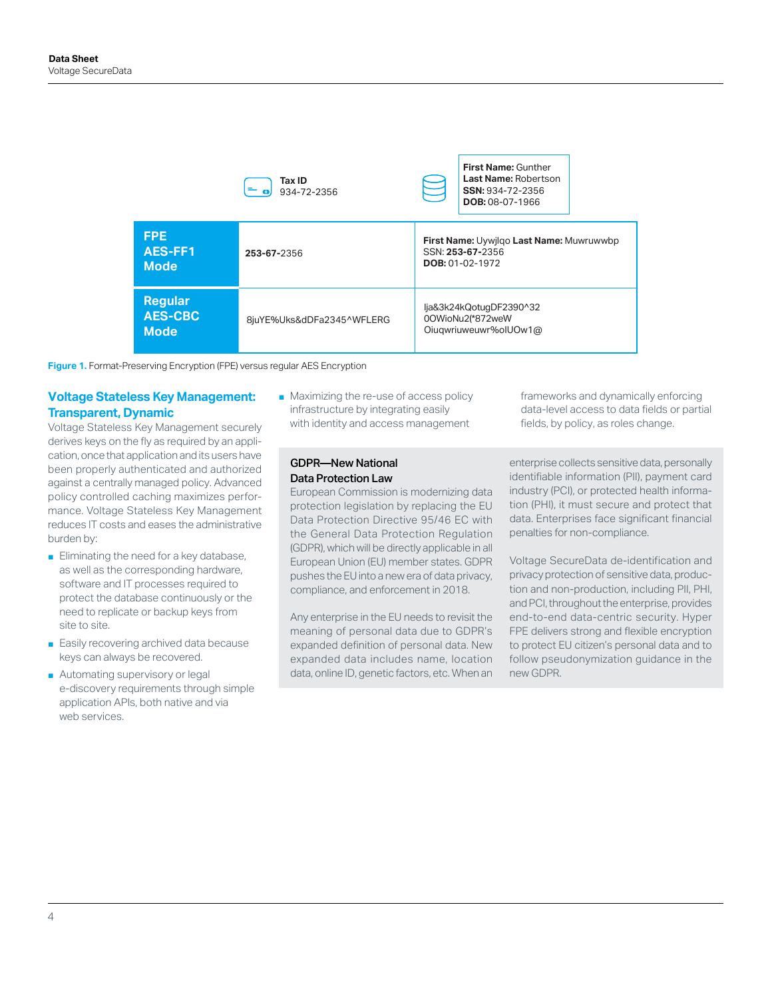<span id="page-3-0"></span>

|                                                 | Tax ID<br>$\mathbf{C} = \mathbf{O}$<br>934-72-2356 | First Name: Gunther<br>Last Name: Robertson<br>$\equiv$<br>SSN: 934-72-2356<br><b>DOB: 08-07-1966</b> |  |  |
|-------------------------------------------------|----------------------------------------------------|-------------------------------------------------------------------------------------------------------|--|--|
| <b>FPE</b><br>AES-FF1<br><b>Mode</b>            | 253-67-2356                                        | First Name: Uywjlqo Last Name: Muwruwwbp<br>SSN: 253-67-2356<br><b>DOB: 01-02-1972</b>                |  |  |
| <b>Regular</b><br><b>AES-CBC</b><br><b>Mode</b> | 8juYE%Uks&dDFa2345^WFLERG                          | lja&3k24kQotuqDF2390^32<br>00WioNu2(*872weW<br>Oiugwriuweuwr%olUOw1@                                  |  |  |

**Figure 1.** Format-Preserving Encryption (FPE) versus regular AES Encryption

## **Voltage Stateless Key Management: Transparent, Dynamic**

Voltage Stateless Key Management securely derives keys on the fly as required by an application, once that application and its users have been properly authenticated and authorized against a centrally managed policy. Advanced policy controlled caching maximizes performance. Voltage Stateless Key Management reduces IT costs and eases the administrative burden by:

- Eliminating the need for a key database, as well as the corresponding hardware, software and IT processes required to protect the database continuously or the need to replicate or backup keys from site to site.
- Easily recovering archived data because keys can always be recovered.
- Automating supervisory or legal e-discovery requirements through simple application APIs, both native and via web services.

■ Maximizing the re-use of access policy infrastructure by integrating easily with identity and access management

### GDPR—New National Data Protection Law

European Commission is modernizing data protection legislation by replacing the EU Data Protection Directive 95/46 EC with the General Data Protection Regulation (GDPR), which will be directly applicable in all European Union (EU) member states. GDPR pushes the EU into a new era of data privacy, compliance, and enforcement in 2018.

Any enterprise in the EU needs to revisit the meaning of personal data due to GDPR's expanded definition of personal data. New expanded data includes name, location data, online ID, genetic factors, etc. When an

frameworks and dynamically enforcing data-level access to data fields or partial fields, by policy, as roles change.

enterprise collects sensitive data, personally identifiable information (PII), payment card industry (PCI), or protected health information (PHI), it must secure and protect that data. Enterprises face significant financial penalties for non-compliance.

Voltage SecureData de-identification and privacy protection of sensitive data, production and non-production, including PII, PHI, and PCI, throughout the enterprise, provides end-to-end data-centric security. Hyper FPE delivers strong and flexible encryption to protect EU citizen's personal data and to follow pseudonymization guidance in the new GDPR.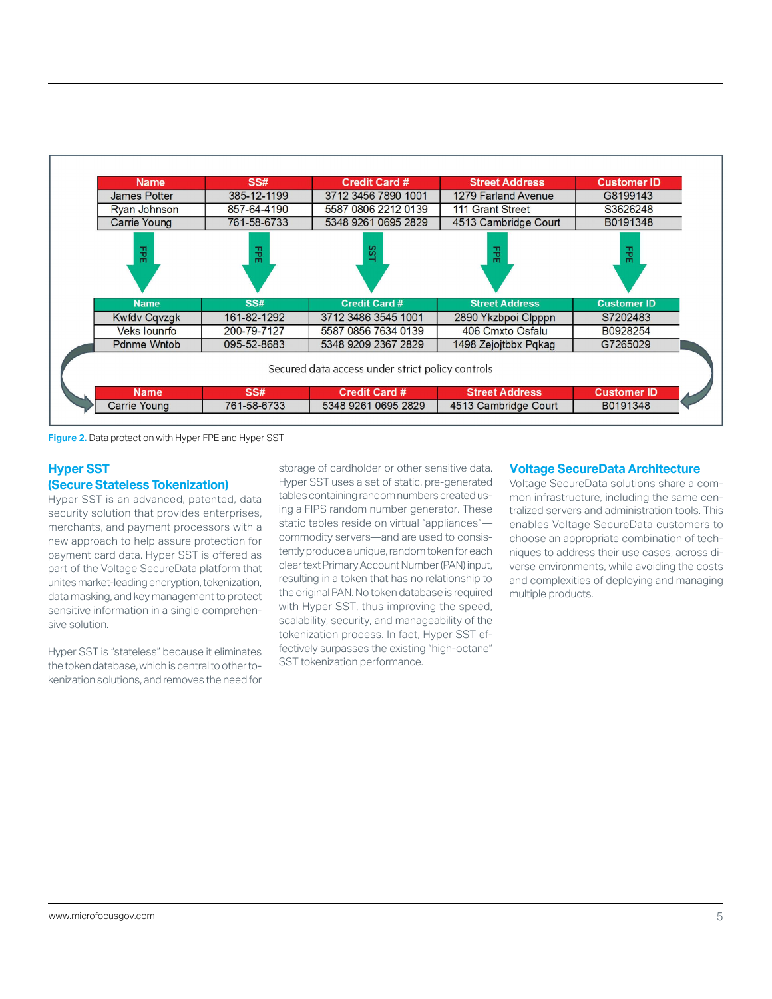| <b>Name</b>         | SS#         | <b>Credit Card #</b>                             | <b>Street Address</b> | <b>Customer ID</b> |
|---------------------|-------------|--------------------------------------------------|-----------------------|--------------------|
| James Potter        | 385-12-1199 | 3712 3456 7890 1001                              | 1279 Farland Avenue   | G8199143           |
| Ryan Johnson        | 857-64-4190 | 5587 0806 2212 0139                              | 111 Grant Street      | S3626248           |
| <b>Carrie Young</b> | 761-58-6733 | 5348 9261 0695 2829                              | 4513 Cambridge Court  | B0191348           |
| 긞                   | 공           | SS                                               | 꾾                     | 괺                  |
| <b>Name</b>         | SS#         | <b>Credit Card #</b>                             | <b>Street Address</b> | <b>Customer ID</b> |
| <b>Kwfdv Cqvzgk</b> | 161-82-1292 | 3712 3486 3545 1001                              | 2890 Ykzbpoi Clpppn   | S7202483           |
| <b>Veks lounrfo</b> | 200-79-7127 | 5587 0856 7634 0139                              | 406 Cmxto Osfalu      | B0928254           |
| <b>Pdnme Wntob</b>  | 095-52-8683 | 5348 9209 2367 2829                              | 1498 Zejojtbbx Pqkag  | G7265029           |
|                     |             | Secured data access under strict policy controls |                       |                    |
| <b>Name</b>         | SS#         | <b>Credit Card #</b>                             | <b>Street Address</b> | <b>Customer ID</b> |
| <b>Carrie Young</b> | 761-58-6733 | 5348 9261 0695 2829                              | 4513 Cambridge Court  | B0191348           |

**Figure 2.** Data protection with Hyper FPE and Hyper SST

## **Hyper SST (Secure Stateless Tokenization)**

Hyper SST is an advanced, patented, data security solution that provides enterprises, merchants, and payment processors with a new approach to help assure protection for payment card data. Hyper SST is offered as part of the Voltage SecureData platform that unites market-leading encryption, tokenization, data masking, and key management to protect sensitive information in a single comprehensive solution.

Hyper SST is "stateless" because it eliminates the token database, which is central to other tokenization solutions, and removes the need for

storage of cardholder or other sensitive data. Hyper SST uses a set of static, pre-generated tables containing random numbers created using a FIPS random number generator. These static tables reside on virtual "appliances" commodity servers—and are used to consistently produce a unique, random token for each clear text Primary Account Number (PAN) input, resulting in a token that has no relationship to the original PAN. No token database is required with Hyper SST, thus improving the speed, scalability, security, and manageability of the tokenization process. In fact, Hyper SST effectively surpasses the existing "high-octane" SST tokenization performance.

#### **Voltage SecureData Architecture**

Voltage SecureData solutions share a common infrastructure, including the same centralized servers and administration tools. This enables Voltage SecureData customers to choose an appropriate combination of techniques to address their use cases, across diverse environments, while avoiding the costs and complexities of deploying and managing multiple products.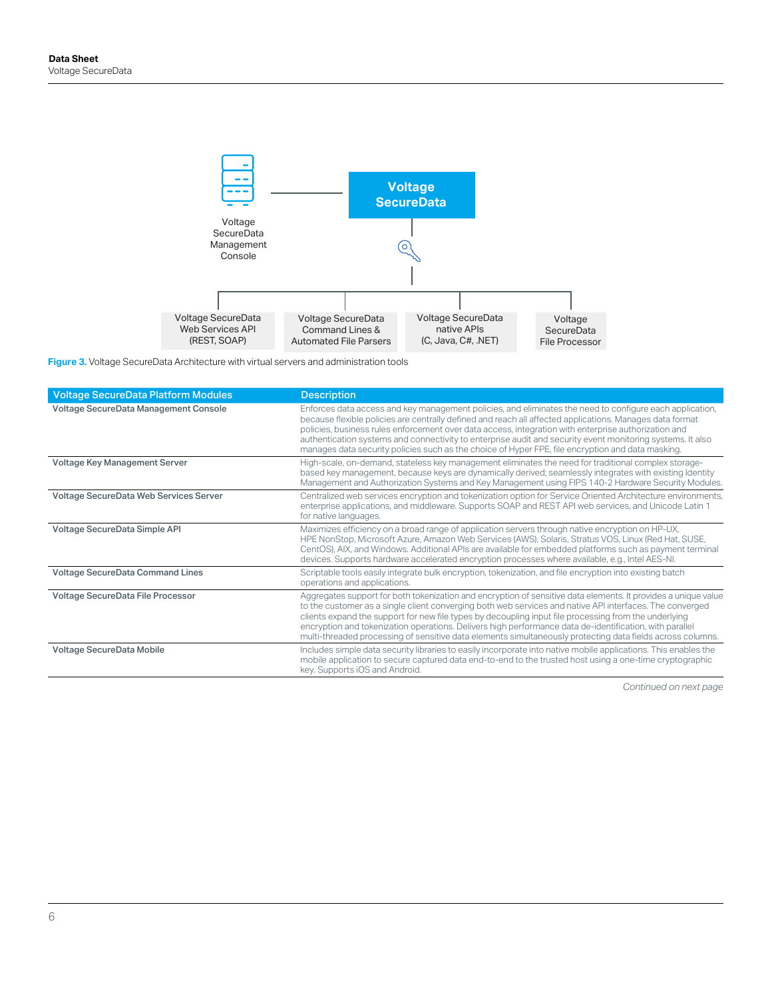

**Figure 3.** Voltage SecureData Architecture with virtual servers and administration tools

| <b>Voltage SecureData Platform Modules</b> | <b>Description</b>                                                                                                                                                                                                                                                                                                                                                                                                                                                                                                                                           |
|--------------------------------------------|--------------------------------------------------------------------------------------------------------------------------------------------------------------------------------------------------------------------------------------------------------------------------------------------------------------------------------------------------------------------------------------------------------------------------------------------------------------------------------------------------------------------------------------------------------------|
| Voltage SecureData Management Console      | Enforces data access and key management policies, and eliminates the need to configure each application,<br>because flexible policies are centrally defined and reach all affected applications. Manages data format<br>policies, business rules enforcement over data access, integration with enterprise authorization and<br>authentication systems and connectivity to enterprise audit and security event monitoring systems. It also<br>manages data security policies such as the choice of Hyper FPE, file encryption and data masking.              |
| Voltage Key Management Server              | High-scale, on-demand, stateless key management eliminates the need for traditional complex storage-<br>based key management, because keys are dynamically derived; seamlessly integrates with existing Identity<br>Management and Authorization Systems and Key Management using FIPS 140-2 Hardware Security Modules.                                                                                                                                                                                                                                      |
| Voltage SecureData Web Services Server     | Centralized web services encryption and tokenization option for Service Oriented Architecture environments,<br>enterprise applications, and middleware. Supports SOAP and REST API web services, and Unicode Latin 1<br>for native languages.                                                                                                                                                                                                                                                                                                                |
| Voltage SecureData Simple API              | Maximizes efficiency on a broad range of application servers through native encryption on HP-UX,<br>HPE NonStop, Microsoft Azure, Amazon Web Services (AWS), Solaris, Stratus VOS, Linux (Red Hat, SUSE,<br>CentOS), AIX, and Windows. Additional APIs are available for embedded platforms such as payment terminal<br>devices. Supports hardware accelerated encryption processes where available, e.g., Intel AES-NI.                                                                                                                                     |
| Voltage SecureData Command Lines           | Scriptable tools easily integrate bulk encryption, tokenization, and file encryption into existing batch<br>operations and applications.                                                                                                                                                                                                                                                                                                                                                                                                                     |
| Voltage SecureData File Processor          | Aggregates support for both tokenization and encryption of sensitive data elements. It provides a unique value<br>to the customer as a single client converging both web services and native API interfaces. The converged<br>clients expand the support for new file types by decoupling input file processing from the underlying<br>encryption and tokenization operations. Delivers high performance data de-identification, with parallel<br>multi-threaded processing of sensitive data elements simultaneously protecting data fields across columns. |
| Voltage SecureData Mobile                  | Includes simple data security libraries to easily incorporate into native mobile applications. This enables the<br>mobile application to secure captured data end-to-end to the trusted host using a one-time cryptographic<br>key. Supports iOS and Android.                                                                                                                                                                                                                                                                                                |

*[Continued on next page](#page-6-0)*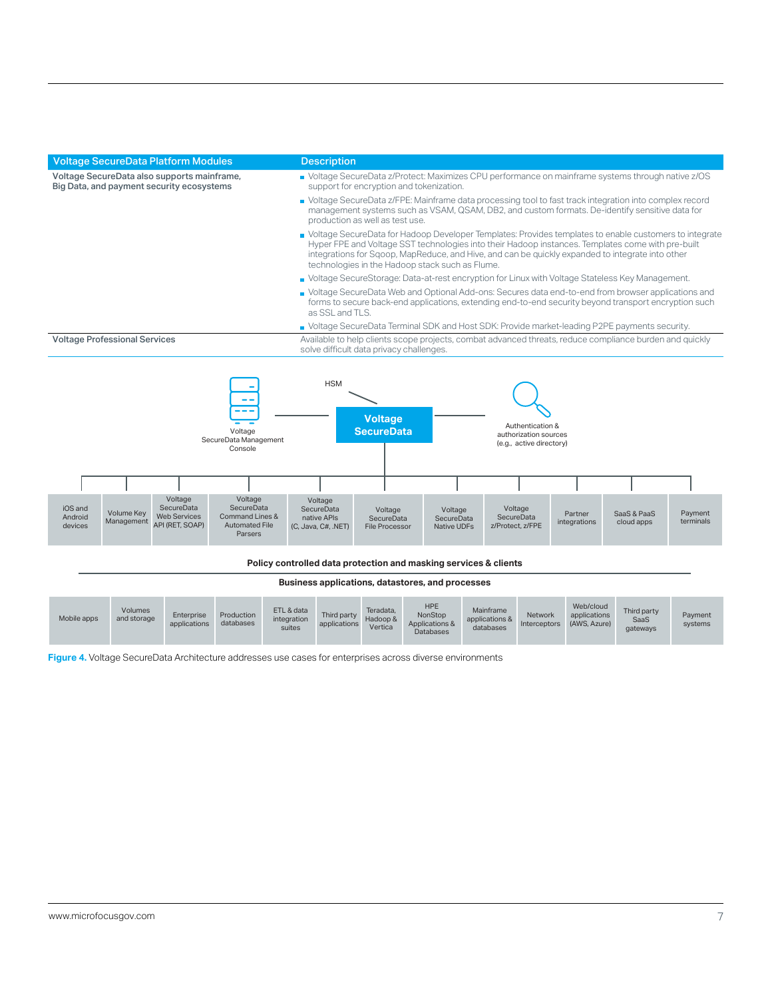<span id="page-6-0"></span>

| <b>Voltage SecureData Platform Modules</b>                                               | <b>Description</b>                                                                                                                                                                                                                                                                                                                                                                                                                                                                                                                                                                                                                                                                                            |  |  |
|------------------------------------------------------------------------------------------|---------------------------------------------------------------------------------------------------------------------------------------------------------------------------------------------------------------------------------------------------------------------------------------------------------------------------------------------------------------------------------------------------------------------------------------------------------------------------------------------------------------------------------------------------------------------------------------------------------------------------------------------------------------------------------------------------------------|--|--|
| Voltage SecureData also supports mainframe,<br>Big Data, and payment security ecosystems | ■ Voltage SecureData z/Protect: Maximizes CPU performance on mainframe systems through native z/OS<br>support for encryption and tokenization.                                                                                                                                                                                                                                                                                                                                                                                                                                                                                                                                                                |  |  |
|                                                                                          | ■ Voltage SecureData z/FPE: Mainframe data processing tool to fast track integration into complex record<br>management systems such as VSAM, QSAM, DB2, and custom formats. De-identify sensitive data for<br>production as well as test use.                                                                                                                                                                                                                                                                                                                                                                                                                                                                 |  |  |
|                                                                                          | • Voltage SecureData for Hadoop Developer Templates: Provides templates to enable customers to integrate<br>Hyper FPE and Voltage SST technologies into their Hadoop instances. Templates come with pre-built<br>integrations for Sqoop, MapReduce, and Hive, and can be quickly expanded to integrate into other<br>technologies in the Hadoop stack such as Flume.<br>■ Voltage SecureStorage: Data-at-rest encryption for Linux with Voltage Stateless Key Management.<br>■ Voltage SecureData Web and Optional Add-ons: Secures data end-to-end from browser applications and<br>forms to secure back-end applications, extending end-to-end security beyond transport encryption such<br>as SSL and TLS. |  |  |
|                                                                                          |                                                                                                                                                                                                                                                                                                                                                                                                                                                                                                                                                                                                                                                                                                               |  |  |
|                                                                                          |                                                                                                                                                                                                                                                                                                                                                                                                                                                                                                                                                                                                                                                                                                               |  |  |
|                                                                                          | • Voltage SecureData Terminal SDK and Host SDK: Provide market-leading P2PE payments security.                                                                                                                                                                                                                                                                                                                                                                                                                                                                                                                                                                                                                |  |  |
| <b>Voltage Professional Services</b>                                                     | Available to help clients scope projects, combat advanced threats, reduce compliance burden and quickly<br>solve difficult data privacy challenges.                                                                                                                                                                                                                                                                                                                                                                                                                                                                                                                                                           |  |  |
|                                                                                          | <b>HSM</b><br><b>Voltage</b><br>Authentication &<br>0 - - - - - - D - - -                                                                                                                                                                                                                                                                                                                                                                                                                                                                                                                                                                                                                                     |  |  |



#### **Policy controlled data protection and masking services & clients**

#### **Business applications, datastores, and processes**

| <b>HPE</b><br>Web/cloud<br>Volumes<br>ETL & data<br>Mainframe<br>Teradata.<br>Third party<br>Production<br>NonStop<br>Third party<br>Enterprise<br>applications<br><b>Network</b><br>Mobile apps<br>and storage<br>Hadoop &<br>applications &<br>integration<br><b>SaaS</b><br>databases<br>(AWS, Azure)<br>Applications &<br>applications<br>applications<br><b>Interceptors</b><br>Vertica<br>databases<br>suites<br>gateways<br><b>Databases</b> |  |  |  |  |  |  |  | Payment<br>systems |
|-----------------------------------------------------------------------------------------------------------------------------------------------------------------------------------------------------------------------------------------------------------------------------------------------------------------------------------------------------------------------------------------------------------------------------------------------------|--|--|--|--|--|--|--|--------------------|
|-----------------------------------------------------------------------------------------------------------------------------------------------------------------------------------------------------------------------------------------------------------------------------------------------------------------------------------------------------------------------------------------------------------------------------------------------------|--|--|--|--|--|--|--|--------------------|

**Figure 4.** Voltage SecureData Architecture addresses use cases for enterprises across diverse environments